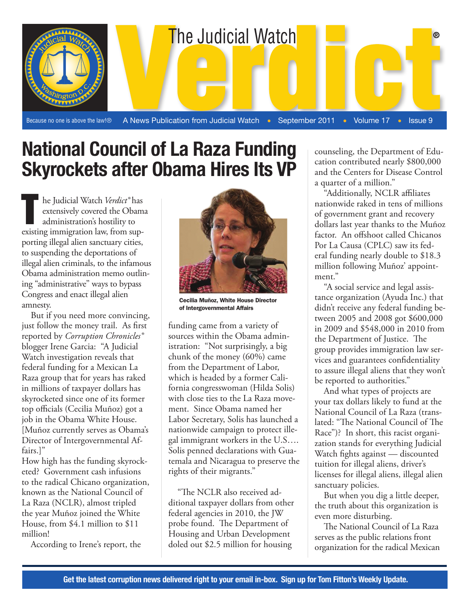

**National Council of La Raza Funding Skyrockets after Obama Hires Its VP**

l

he Judicial Watch *Verdict®* has extensively covered the Obama administration's hostility to he Judicial Watch Verdict® has<br>extensively covered the Obam<br>administration's hostility to<br>existing immigration law, from supporting illegal alien sanctuary cities, to suspending the deportations of illegal alien criminals, to the infamous Obama administration memo outlining "administrative" ways to bypass Congress and enact illegal alien amnesty.

But if you need more convincing, just follow the money trail. As first reported by *Corruption Chronicles®* blogger Irene Garcia: "A Judicial Watch investigation reveals that federal funding for a Mexican La Raza group that for years has raked in millions of taxpayer dollars has skyrocketed since one of its former top officials (Cecilia Muñoz) got a job in the Obama White House. [Muñoz currently serves as Obama's Director of Intergovernmental Affairs.]"

How high has the funding skyrocketed? Government cash infusions to the radical Chicano organization, known as the National Council of La Raza (NCLR), almost tripled the year Muñoz joined the White House, from \$4.1 million to \$11 million!

According to Irene's report, the



Cecilia Muñoz, White House Director of Intergovernmental Affairs

funding came from a variety of sources within the Obama administration: "Not surprisingly, a big chunk of the money (60%) came from the Department of Labor, which is headed by a former California congresswoman (Hilda Solis) with close ties to the La Raza movement. Since Obama named her Labor Secretary, Solis has launched a nationwide campaign to protect illegal immigrant workers in the U.S…. Solis penned declarations with Guatemala and Nicaragua to preserve the rights of their migrants."

"The NCLR also received additional taxpayer dollars from other federal agencies in 2010, the JW probe found. The Department of Housing and Urban Development doled out \$2.5 million for housing

counseling, the Department of Education contributed nearly \$800,000 and the Centers for Disease Control a quarter of a million."

"Additionally, NCLR affiliates nationwide raked in tens of millions of government grant and recovery dollars last year thanks to the Muñoz factor. An offshoot called Chicanos Por La Causa (CPLC) saw its federal funding nearly double to \$18.3 million following Muñoz' appointment."

"A social service and legal assistance organization (Ayuda Inc.) that didn't receive any federal funding between 2005 and 2008 got \$600,000 in 2009 and \$548,000 in 2010 from the Department of Justice. The group provides immigration law services and guarantees confidentiality to assure illegal aliens that they won't be reported to authorities."

And what types of projects are your tax dollars likely to fund at the National Council of La Raza (translated: "The National Council of The Race")? In short, this racist organization stands for everything Judicial Watch fights against — discounted tuition for illegal aliens, driver's licenses for illegal aliens, illegal alien sanctuary policies.

But when you dig a little deeper, the truth about this organization is even more disturbing.

The National Council of La Raza serves as the public relations front organization for the radical Mexican